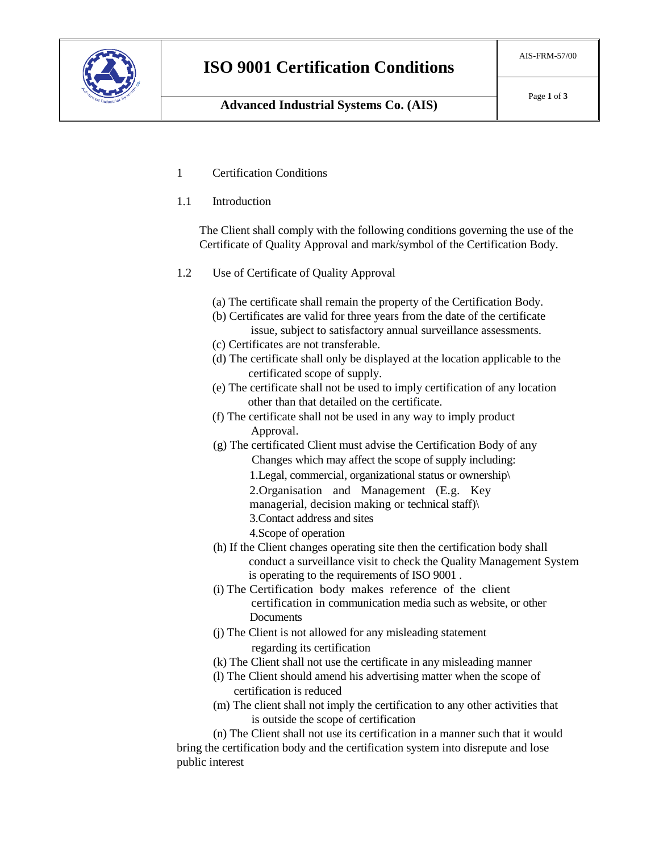

- 1 Certification Conditions
- 1.1 Introduction

The Client shall comply with the following conditions governing the use of the Certificate of Quality Approval and mark/symbol of the Certification Body.

- 1.2 Use of Certificate of Quality Approval
	- (a) The certificate shall remain the property of the Certification Body.
	- (b) Certificates are valid for three years from the date of the certificate issue, subject to satisfactory annual surveillance assessments.
	- (c) Certificates are not transferable.
	- (d) The certificate shall only be displayed at the location applicable to the certificated scope of supply.
	- (e) The certificate shall not be used to imply certification of any location other than that detailed on the certificate.
	- (f) The certificate shall not be used in any way to imply product Approval.
	- (g) The certificated Client must advise the Certification Body of any Changes which may affect the scope of supply including: 1.Legal, commercial, organizational status or ownership\ 2.Organisation and Management (E.g. Key managerial, decision making or technical staff)\ 3.Contact address and sites
		- 4.Scope of operation
	- (h) If the Client changes operating site then the certification body shall conduct a surveillance visit to check the Quality Management System is operating to the requirements of ISO 9001 .
	- (i) The Certification body makes reference of the client certification in communication media such as website, or other **Documents**
	- (j) The Client is not allowed for any misleading statement regarding its certification
	- (k) The Client shall not use the certificate in any misleading manner
	- (l) The Client should amend his advertising matter when the scope of certification is reduced
	- (m) The client shall not imply the certification to any other activities that is outside the scope of certification

(n) The Client shall not use its certification in a manner such that it would bring the certification body and the certification system into disrepute and lose public interest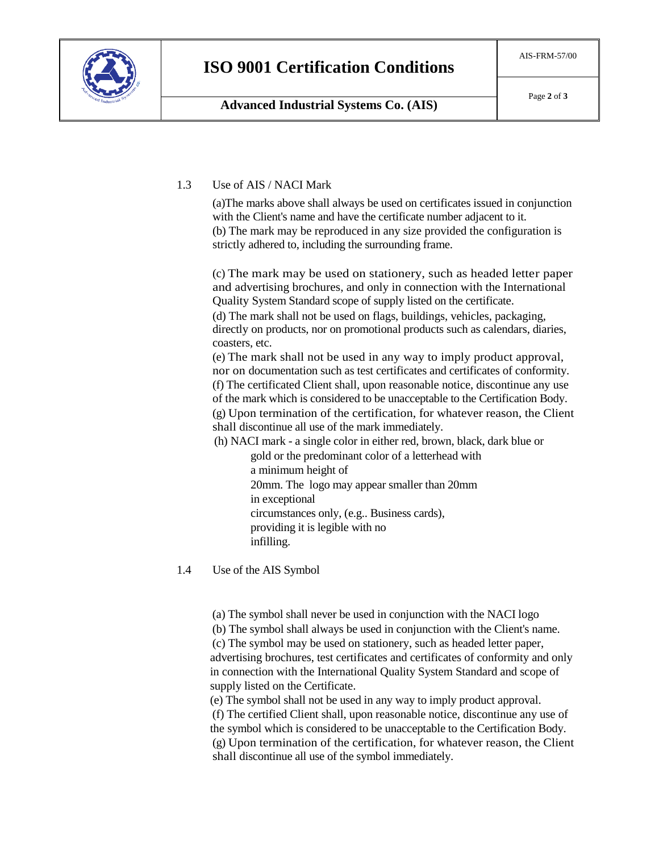

## 1.3 Use of AIS / NACI Mark

(a)The marks above shall always be used on certificates issued in conjunction with the Client's name and have the certificate number adjacent to it. (b) The mark may be reproduced in any size provided the configuration is strictly adhered to, including the surrounding frame.

(c) The mark may be used on stationery, such as headed letter paper and advertising brochures, and only in connection with the International Quality System Standard scope of supply listed on the certificate. (d) The mark shall not be used on flags, buildings, vehicles, packaging,

directly on products, nor on promotional products such as calendars, diaries, coasters, etc.

(e) The mark shall not be used in any way to imply product approval, nor on documentation such as test certificates and certificates of conformity. (f) The certificated Client shall, upon reasonable notice, discontinue any use of the mark which is considered to be unacceptable to the Certification Body.

(g) Upon termination of the certification, for whatever reason, the Client shall discontinue all use of the mark immediately.

(h) NACI mark - a single color in either red, brown, black, dark blue or

gold or the predominant color of a letterhead with a minimum height of 20mm. The logo may appear smaller than 20mm in exceptional circumstances only, (e.g.. Business cards), providing it is legible with no infilling.

1.4 Use of the AIS Symbol

(a) The symbol shall never be used in conjunction with the NACI logo (b) The symbol shall always be used in conjunction with the Client's name. (c) The symbol may be used on stationery, such as headed letter paper, advertising brochures, test certificates and certificates of conformity and only in connection with the International Quality System Standard and scope of supply listed on the Certificate.

(e) The symbol shall not be used in any way to imply product approval. (f) The certified Client shall, upon reasonable notice, discontinue any use of the symbol which is considered to be unacceptable to the Certification Body. (g) Upon termination of the certification, for whatever reason, the Client shall discontinue all use of the symbol immediately.